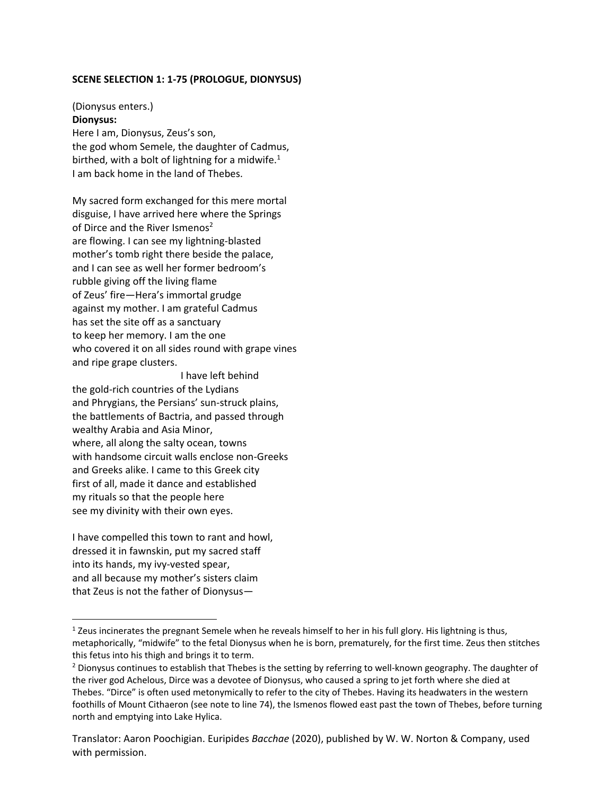## **SCENE SELECTION 1: 1-75 (PROLOGUE, DIONYSUS)**

# (Dionysus enters.) **Dionysus:**

Here I am, Dionysus, Zeus's son, the god whom Semele, the daughter of Cadmus, birthed, with a bolt of lightning for a midwife. $1$ I am back home in the land of Thebes.

My sacred form exchanged for this mere mortal disguise, I have arrived here where the Springs of Dirce and the River Ismenos<sup>2</sup> are flowing. I can see my lightning-blasted mother's tomb right there beside the palace, and I can see as well her former bedroom's rubble giving off the living flame of Zeus' fire—Hera's immortal grudge against my mother. I am grateful Cadmus has set the site off as a sanctuary to keep her memory. I am the one who covered it on all sides round with grape vines and ripe grape clusters.

I have left behind the gold-rich countries of the Lydians and Phrygians, the Persians' sun-struck plains, the battlements of Bactria, and passed through wealthy Arabia and Asia Minor, where, all along the salty ocean, towns with handsome circuit walls enclose non-Greeks and Greeks alike. I came to this Greek city first of all, made it dance and established my rituals so that the people here see my divinity with their own eyes.

I have compelled this town to rant and howl, dressed it in fawnskin, put my sacred staff into its hands, my ivy-vested spear, and all because my mother's sisters claim that Zeus is not the father of Dionysus—

 $1$  Zeus incinerates the pregnant Semele when he reveals himself to her in his full glory. His lightning is thus, metaphorically, "midwife" to the fetal Dionysus when he is born, prematurely, for the first time. Zeus then stitches this fetus into his thigh and brings it to term.

<sup>&</sup>lt;sup>2</sup> Dionysus continues to establish that Thebes is the setting by referring to well-known geography. The daughter of the river god Achelous, Dirce was a devotee of Dionysus, who caused a spring to jet forth where she died at Thebes. "Dirce" is often used metonymically to refer to the city of Thebes. Having its headwaters in the western foothills of Mount Cithaeron (see note to line 74), the Ismenos flowed east past the town of Thebes, before turning north and emptying into Lake Hylica.

Translator: Aaron Poochigian. Euripides *Bacchae* (2020), published by W. W. Norton & Company, used with permission.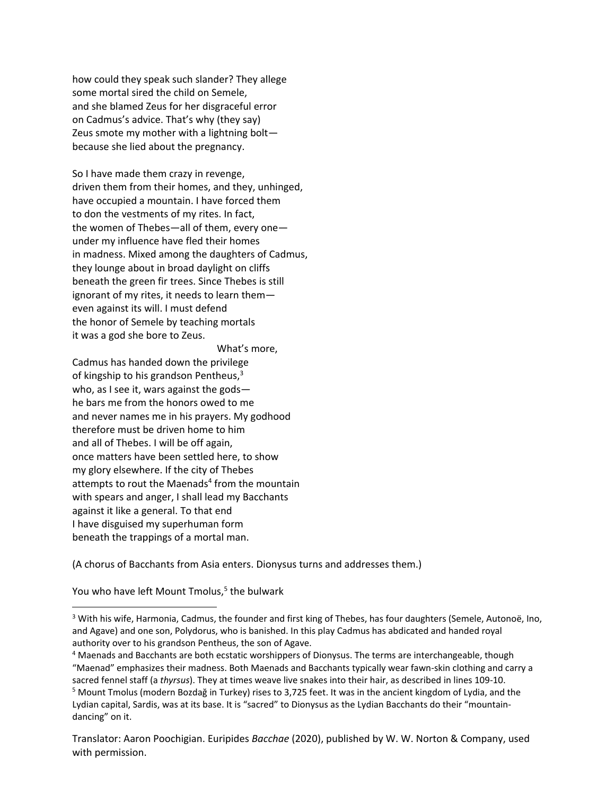how could they speak such slander? They allege some mortal sired the child on Semele, and she blamed Zeus for her disgraceful error on Cadmus's advice. That's why (they say) Zeus smote my mother with a lightning bolt because she lied about the pregnancy.

So I have made them crazy in revenge, driven them from their homes, and they, unhinged, have occupied a mountain. I have forced them to don the vestments of my rites. In fact, the women of Thebes—all of them, every one under my influence have fled their homes in madness. Mixed among the daughters of Cadmus, they lounge about in broad daylight on cliffs beneath the green fir trees. Since Thebes is still ignorant of my rites, it needs to learn them even against its will. I must defend the honor of Semele by teaching mortals it was a god she bore to Zeus.

What's more,

Cadmus has handed down the privilege of kingship to his grandson Pentheus,<sup>3</sup> who, as I see it, wars against the gods he bars me from the honors owed to me and never names me in his prayers. My godhood therefore must be driven home to him and all of Thebes. I will be off again, once matters have been settled here, to show my glory elsewhere. If the city of Thebes attempts to rout the Maenads<sup>4</sup> from the mountain with spears and anger, I shall lead my Bacchants against it like a general. To that end I have disguised my superhuman form beneath the trappings of a mortal man.

(A chorus of Bacchants from Asia enters. Dionysus turns and addresses them.)

You who have left Mount Tmolus,<sup>5</sup> the bulwark

<sup>3</sup> With his wife, Harmonia, Cadmus, the founder and first king of Thebes, has four daughters (Semele, Autonoë, Ino, and Agave) and one son, Polydorus, who is banished. In this play Cadmus has abdicated and handed royal authority over to his grandson Pentheus, the son of Agave.

<sup>4</sup> Maenads and Bacchants are both ecstatic worshippers of Dionysus. The terms are interchangeable, though "Maenad" emphasizes their madness. Both Maenads and Bacchants typically wear fawn-skin clothing and carry a

sacred fennel staff (a *thyrsus*). They at times weave live snakes into their hair, as described in lines 109-10. <sup>5</sup> Mount Tmolus (modern Bozdağ in Turkey) rises to 3,725 feet. It was in the ancient kingdom of Lydia, and the Lydian capital, Sardis, was at its base. It is "sacred" to Dionysus as the Lydian Bacchants do their "mountaindancing" on it.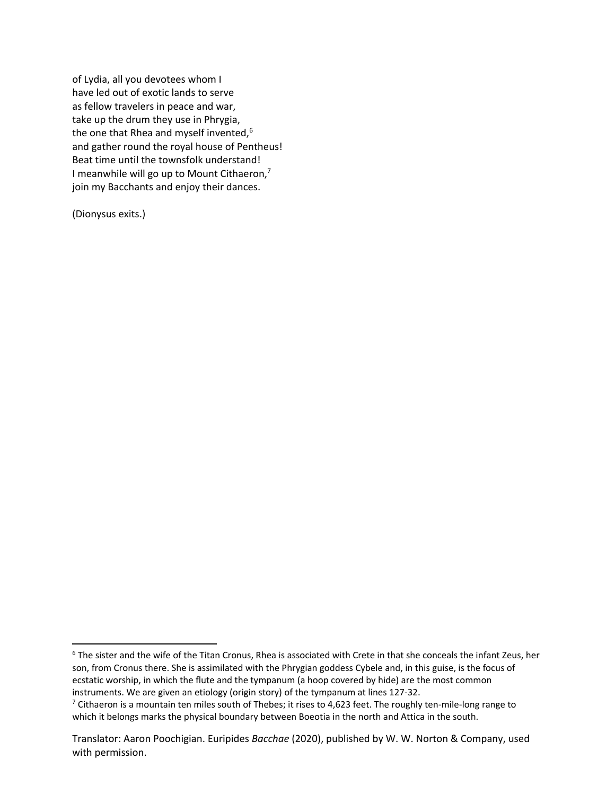of Lydia, all you devotees whom I have led out of exotic lands to serve as fellow travelers in peace and war, take up the drum they use in Phrygia, the one that Rhea and myself invented,<sup>6</sup> and gather round the royal house of Pentheus! Beat time until the townsfolk understand! I meanwhile will go up to Mount Cithaeron, $<sup>7</sup>$ </sup> join my Bacchants and enjoy their dances.

(Dionysus exits.)

<sup>6</sup> The sister and the wife of the Titan Cronus, Rhea is associated with Crete in that she conceals the infant Zeus, her son, from Cronus there. She is assimilated with the Phrygian goddess Cybele and, in this guise, is the focus of ecstatic worship, in which the flute and the tympanum (a hoop covered by hide) are the most common instruments. We are given an etiology (origin story) of the tympanum at lines 127-32.

 $7$  Cithaeron is a mountain ten miles south of Thebes; it rises to 4,623 feet. The roughly ten-mile-long range to which it belongs marks the physical boundary between Boeotia in the north and Attica in the south.

Translator: Aaron Poochigian. Euripides *Bacchae* (2020), published by W. W. Norton & Company, used with permission.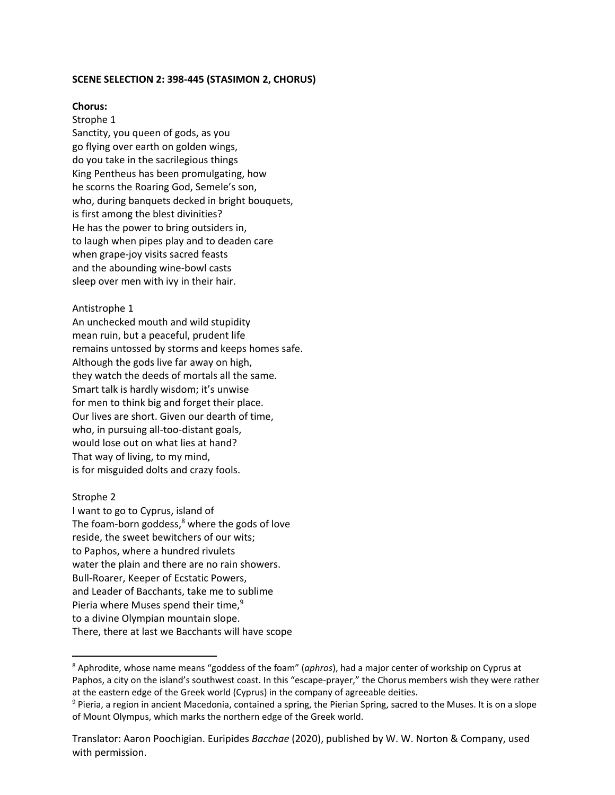## **SCENE SELECTION 2: 398-445 (STASIMON 2, CHORUS)**

## **Chorus:**

## Strophe 1

Sanctity, you queen of gods, as you go flying over earth on golden wings, do you take in the sacrilegious things King Pentheus has been promulgating, how he scorns the Roaring God, Semele's son, who, during banquets decked in bright bouquets, is first among the blest divinities? He has the power to bring outsiders in, to laugh when pipes play and to deaden care when grape-joy visits sacred feasts and the abounding wine-bowl casts sleep over men with ivy in their hair.

#### Antistrophe 1

An unchecked mouth and wild stupidity mean ruin, but a peaceful, prudent life remains untossed by storms and keeps homes safe. Although the gods live far away on high, they watch the deeds of mortals all the same. Smart talk is hardly wisdom; it's unwise for men to think big and forget their place. Our lives are short. Given our dearth of time, who, in pursuing all-too-distant goals, would lose out on what lies at hand? That way of living, to my mind, is for misguided dolts and crazy fools.

#### Strophe 2

I want to go to Cyprus, island of The foam-born goddess, $8$  where the gods of love reside, the sweet bewitchers of our wits; to Paphos, where a hundred rivulets water the plain and there are no rain showers. Bull-Roarer, Keeper of Ecstatic Powers, and Leader of Bacchants, take me to sublime Pieria where Muses spend their time, $9$ to a divine Olympian mountain slope. There, there at last we Bacchants will have scope

<sup>8</sup> Aphrodite, whose name means "goddess of the foam" (*aphros*), had a major center of workship on Cyprus at Paphos, a city on the island's southwest coast. In this "escape-prayer," the Chorus members wish they were rather at the eastern edge of the Greek world (Cyprus) in the company of agreeable deities.

<sup>&</sup>lt;sup>9</sup> Pieria, a region in ancient Macedonia, contained a spring, the Pierian Spring, sacred to the Muses. It is on a slope of Mount Olympus, which marks the northern edge of the Greek world.

Translator: Aaron Poochigian. Euripides *Bacchae* (2020), published by W. W. Norton & Company, used with permission.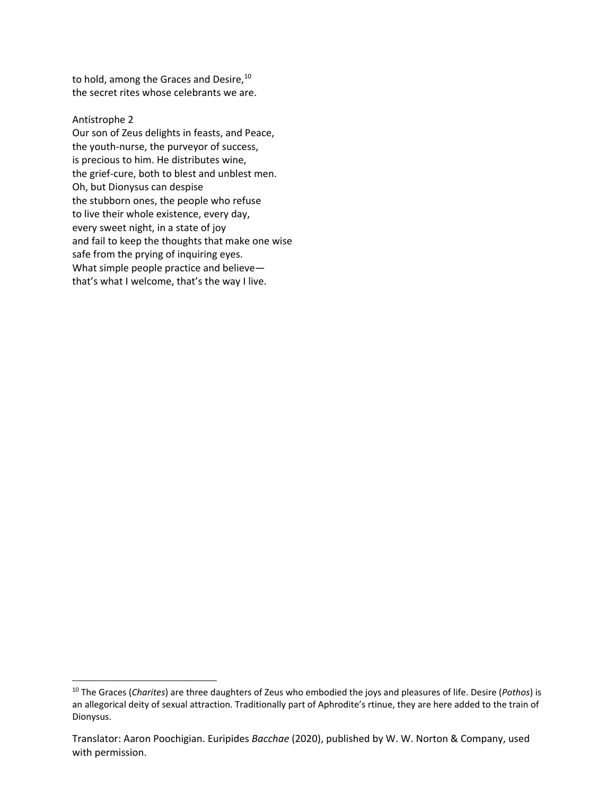to hold, among the Graces and Desire,<sup>10</sup> the secret rites whose celebrants we are.

## Antistrophe 2

Our son of Zeus delights in feasts, and Peace, the youth-nurse, the purveyor of success, is precious to him. He distributes wine, the grief-cure, both to blest and unblest men. Oh, but Dionysus can despise the stubborn ones, the people who refuse to live their whole existence, every day, every sweet night, in a state of joy and fail to keep the thoughts that make one wise safe from the prying of inquiring eyes. What simple people practice and believe that's what I welcome, that's the way I live.

<sup>10</sup> The Graces (*Charites*) are three daughters of Zeus who embodied the joys and pleasures of life. Desire (*Pothos*) is an allegorical deity of sexual attraction. Traditionally part of Aphrodite's rtinue, they are here added to the train of Dionysus.

Translator: Aaron Poochigian. Euripides *Bacchae* (2020), published by W. W. Norton & Company, used with permission.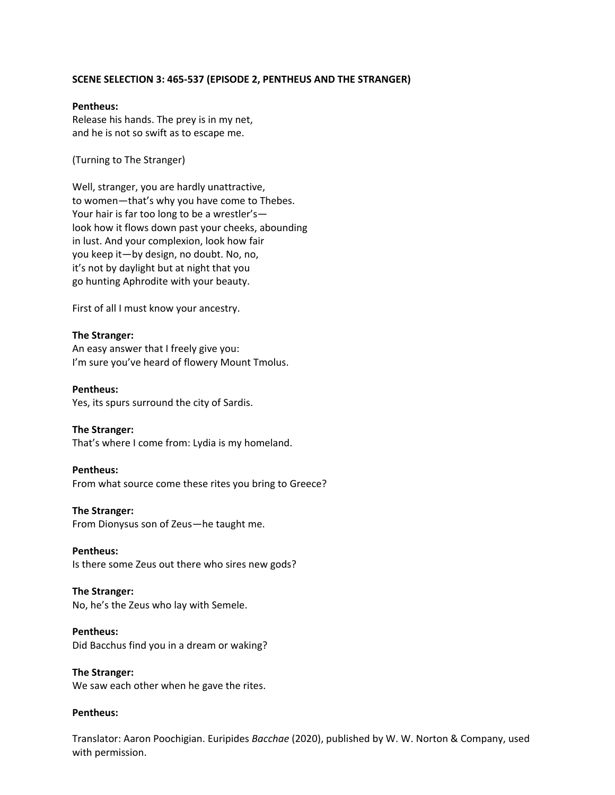## **SCENE SELECTION 3: 465-537 (EPISODE 2, PENTHEUS AND THE STRANGER)**

#### **Pentheus:**

Release his hands. The prey is in my net, and he is not so swift as to escape me.

(Turning to The Stranger)

Well, stranger, you are hardly unattractive, to women—that's why you have come to Thebes. Your hair is far too long to be a wrestler's look how it flows down past your cheeks, abounding in lust. And your complexion, look how fair you keep it—by design, no doubt. No, no, it's not by daylight but at night that you go hunting Aphrodite with your beauty.

First of all I must know your ancestry.

## **The Stranger:**

An easy answer that I freely give you: I'm sure you've heard of flowery Mount Tmolus.

**Pentheus:** Yes, its spurs surround the city of Sardis.

## **The Stranger:**

That's where I come from: Lydia is my homeland.

## **Pentheus:**

From what source come these rites you bring to Greece?

## **The Stranger:**

From Dionysus son of Zeus—he taught me.

# **Pentheus:**

Is there some Zeus out there who sires new gods?

## **The Stranger:**

No, he's the Zeus who lay with Semele.

#### **Pentheus:**

Did Bacchus find you in a dream or waking?

**The Stranger:** We saw each other when he gave the rites.

## **Pentheus:**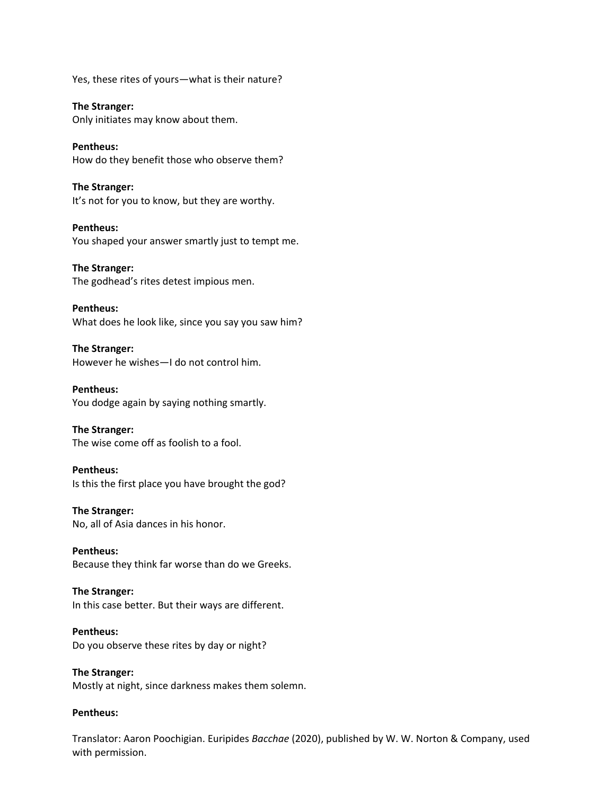Yes, these rites of yours—what is their nature?

**The Stranger:** Only initiates may know about them.

**Pentheus:** How do they benefit those who observe them?

**The Stranger:** It's not for you to know, but they are worthy.

**Pentheus:** You shaped your answer smartly just to tempt me.

**The Stranger:** The godhead's rites detest impious men.

**Pentheus:** What does he look like, since you say you saw him?

**The Stranger:** However he wishes—I do not control him.

**Pentheus:** You dodge again by saying nothing smartly.

**The Stranger:** The wise come off as foolish to a fool.

**Pentheus:** Is this the first place you have brought the god?

**The Stranger:** No, all of Asia dances in his honor.

**Pentheus:** Because they think far worse than do we Greeks.

**The Stranger:** In this case better. But their ways are different.

**Pentheus:** Do you observe these rites by day or night?

**The Stranger:** Mostly at night, since darkness makes them solemn.

# **Pentheus:**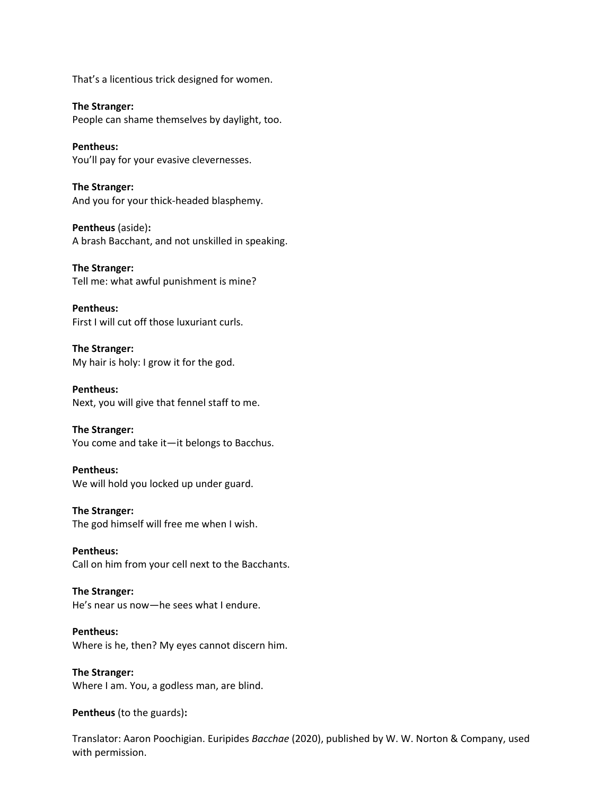That's a licentious trick designed for women.

**The Stranger:** People can shame themselves by daylight, too.

**Pentheus:** You'll pay for your evasive clevernesses.

**The Stranger:** And you for your thick-headed blasphemy.

**Pentheus** (aside)**:** A brash Bacchant, and not unskilled in speaking.

**The Stranger:** Tell me: what awful punishment is mine?

**Pentheus:** First I will cut off those luxuriant curls.

**The Stranger:** My hair is holy: I grow it for the god.

**Pentheus:** Next, you will give that fennel staff to me.

**The Stranger:** You come and take it—it belongs to Bacchus.

**Pentheus:** We will hold you locked up under guard.

**The Stranger:** The god himself will free me when I wish.

**Pentheus:** Call on him from your cell next to the Bacchants.

**The Stranger:** He's near us now—he sees what I endure.

**Pentheus:** Where is he, then? My eyes cannot discern him.

**The Stranger:** Where I am. You, a godless man, are blind.

**Pentheus** (to the guards)**:**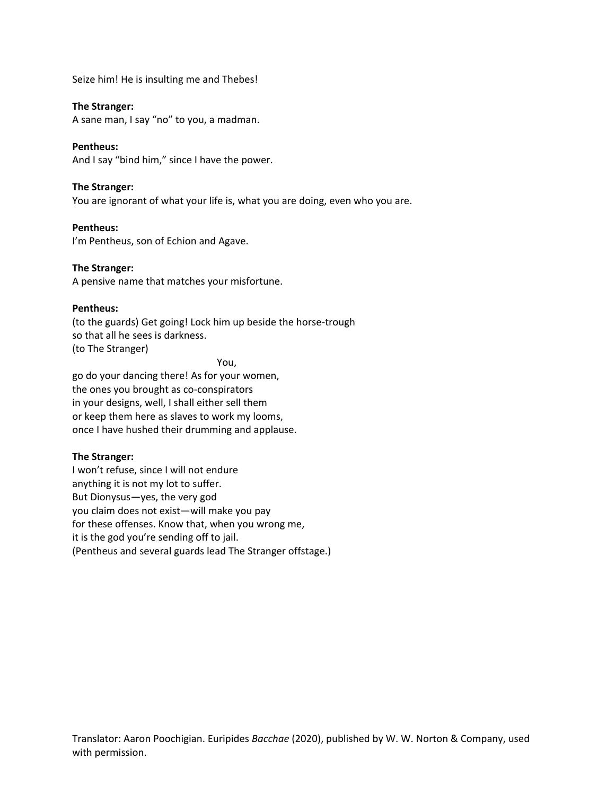Seize him! He is insulting me and Thebes!

## **The Stranger:**

A sane man, I say "no" to you, a madman.

# **Pentheus:**

And I say "bind him," since I have the power.

# **The Stranger:**

You are ignorant of what your life is, what you are doing, even who you are.

# **Pentheus:**

I'm Pentheus, son of Echion and Agave.

# **The Stranger:**

A pensive name that matches your misfortune.

# **Pentheus:**

(to the guards) Get going! Lock him up beside the horse-trough so that all he sees is darkness. (to The Stranger)

You,

go do your dancing there! As for your women, the ones you brought as co-conspirators in your designs, well, I shall either sell them or keep them here as slaves to work my looms, once I have hushed their drumming and applause.

# **The Stranger:**

I won't refuse, since I will not endure anything it is not my lot to suffer. But Dionysus—yes, the very god you claim does not exist—will make you pay for these offenses. Know that, when you wrong me, it is the god you're sending off to jail. (Pentheus and several guards lead The Stranger offstage.)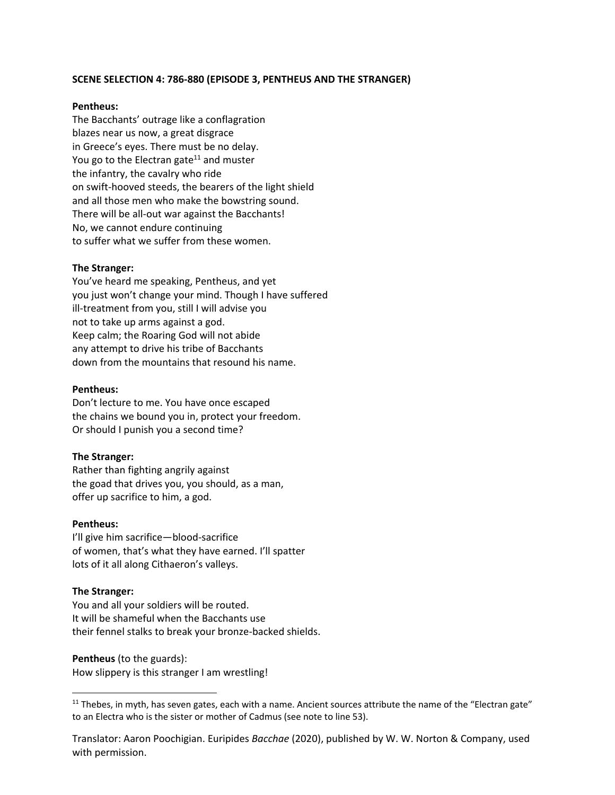## **SCENE SELECTION 4: 786-880 (EPISODE 3, PENTHEUS AND THE STRANGER)**

#### **Pentheus:**

The Bacchants' outrage like a conflagration blazes near us now, a great disgrace in Greece's eyes. There must be no delay. You go to the Electran gate $11$  and muster the infantry, the cavalry who ride on swift-hooved steeds, the bearers of the light shield and all those men who make the bowstring sound. There will be all-out war against the Bacchants! No, we cannot endure continuing to suffer what we suffer from these women.

#### **The Stranger:**

You've heard me speaking, Pentheus, and yet you just won't change your mind. Though I have suffered ill-treatment from you, still I will advise you not to take up arms against a god. Keep calm; the Roaring God will not abide any attempt to drive his tribe of Bacchants down from the mountains that resound his name.

#### **Pentheus:**

Don't lecture to me. You have once escaped the chains we bound you in, protect your freedom. Or should I punish you a second time?

#### **The Stranger:**

Rather than fighting angrily against the goad that drives you, you should, as a man, offer up sacrifice to him, a god.

#### **Pentheus:**

I'll give him sacrifice—blood-sacrifice of women, that's what they have earned. I'll spatter lots of it all along Cithaeron's valleys.

## **The Stranger:**

You and all your soldiers will be routed. It will be shameful when the Bacchants use their fennel stalks to break your bronze-backed shields.

#### **Pentheus** (to the guards):

How slippery is this stranger I am wrestling!

 $11$  Thebes, in myth, has seven gates, each with a name. Ancient sources attribute the name of the "Electran gate" to an Electra who is the sister or mother of Cadmus (see note to line 53).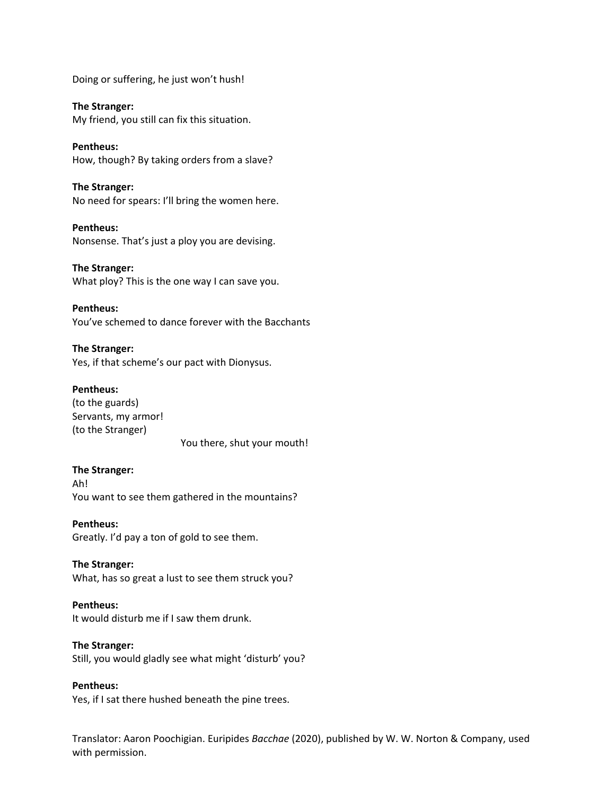Doing or suffering, he just won't hush!

**The Stranger:** My friend, you still can fix this situation.

**Pentheus:** How, though? By taking orders from a slave?

**The Stranger:** No need for spears: I'll bring the women here.

**Pentheus:** Nonsense. That's just a ploy you are devising.

**The Stranger:** What ploy? This is the one way I can save you.

**Pentheus:** You've schemed to dance forever with the Bacchants

**The Stranger:** Yes, if that scheme's our pact with Dionysus.

## **Pentheus:**

(to the guards) Servants, my armor! (to the Stranger)

You there, shut your mouth!

## **The Stranger:**

Ah! You want to see them gathered in the mountains?

**Pentheus:** Greatly. I'd pay a ton of gold to see them.

**The Stranger:** What, has so great a lust to see them struck you?

**Pentheus:** It would disturb me if I saw them drunk.

**The Stranger:**

Still, you would gladly see what might 'disturb' you?

**Pentheus:** Yes, if I sat there hushed beneath the pine trees.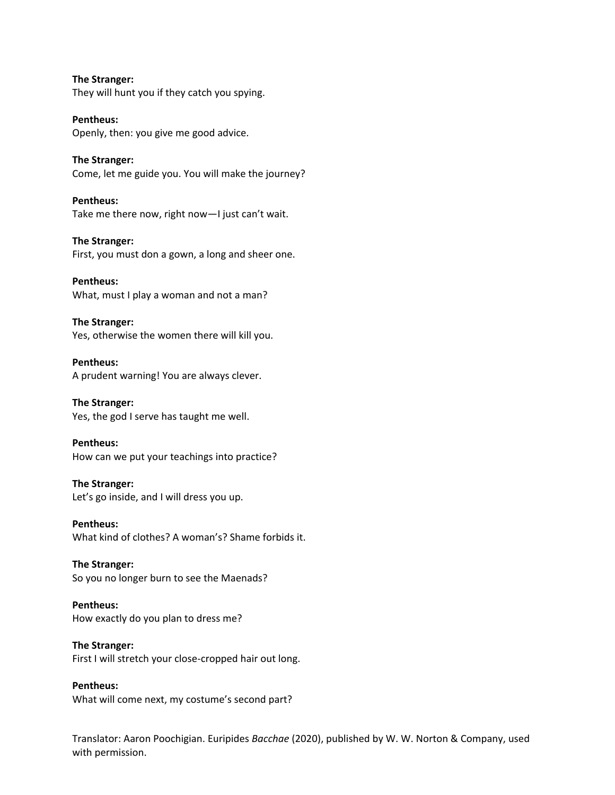**The Stranger:** They will hunt you if they catch you spying.

**Pentheus:** Openly, then: you give me good advice.

**The Stranger:** Come, let me guide you. You will make the journey?

**Pentheus:** Take me there now, right now—I just can't wait.

**The Stranger:** First, you must don a gown, a long and sheer one.

**Pentheus:** What, must I play a woman and not a man?

**The Stranger:** Yes, otherwise the women there will kill you.

**Pentheus:** A prudent warning! You are always clever.

**The Stranger:** Yes, the god I serve has taught me well.

**Pentheus:** How can we put your teachings into practice?

**The Stranger:** Let's go inside, and I will dress you up.

**Pentheus:** What kind of clothes? A woman's? Shame forbids it.

**The Stranger:** So you no longer burn to see the Maenads?

**Pentheus:** How exactly do you plan to dress me?

**The Stranger:** First I will stretch your close-cropped hair out long.

**Pentheus:** What will come next, my costume's second part?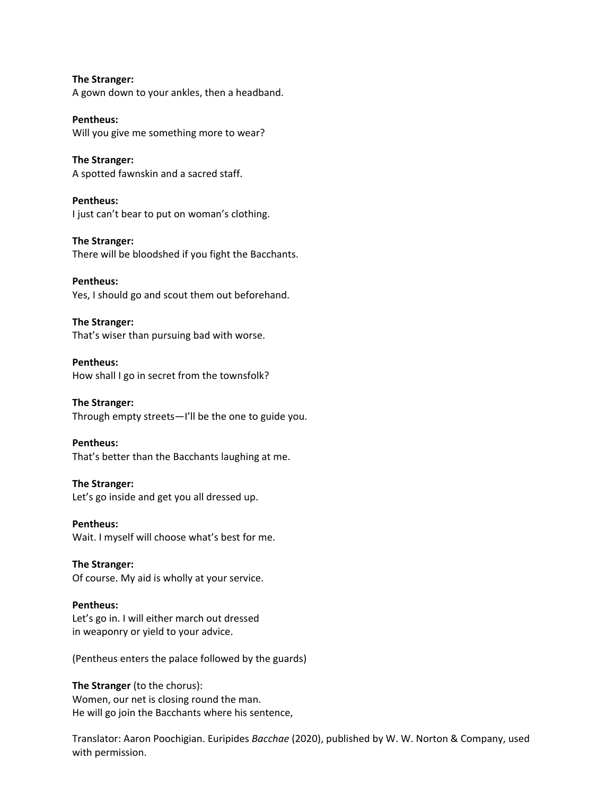**The Stranger:** A gown down to your ankles, then a headband.

**Pentheus:** Will you give me something more to wear?

**The Stranger:** A spotted fawnskin and a sacred staff.

**Pentheus:** I just can't bear to put on woman's clothing.

**The Stranger:** There will be bloodshed if you fight the Bacchants.

**Pentheus:** Yes, I should go and scout them out beforehand.

**The Stranger:** That's wiser than pursuing bad with worse.

**Pentheus:** How shall I go in secret from the townsfolk?

**The Stranger:** Through empty streets—I'll be the one to guide you.

**Pentheus:** That's better than the Bacchants laughing at me.

**The Stranger:** Let's go inside and get you all dressed up.

**Pentheus:** Wait. I myself will choose what's best for me.

**The Stranger:** Of course. My aid is wholly at your service.

**Pentheus:** Let's go in. I will either march out dressed in weaponry or yield to your advice.

(Pentheus enters the palace followed by the guards)

**The Stranger** (to the chorus): Women, our net is closing round the man. He will go join the Bacchants where his sentence,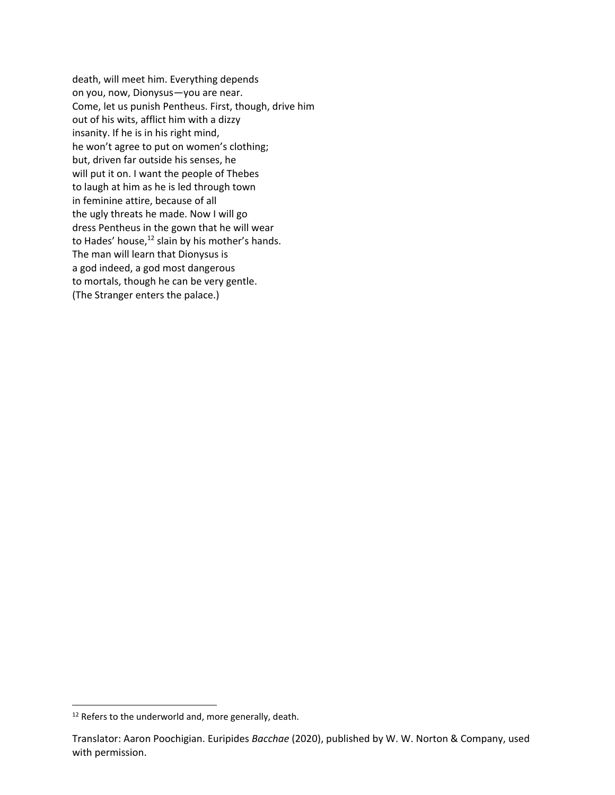death, will meet him. Everything depends on you, now, Dionysus—you are near. Come, let us punish Pentheus. First, though, drive him out of his wits, afflict him with a dizzy insanity. If he is in his right mind, he won't agree to put on women's clothing; but, driven far outside his senses, he will put it on. I want the people of Thebes to laugh at him as he is led through town in feminine attire, because of all the ugly threats he made. Now I will go dress Pentheus in the gown that he will wear to Hades' house, $^{12}$  slain by his mother's hands. The man will learn that Dionysus is a god indeed, a god most dangerous to mortals, though he can be very gentle. (The Stranger enters the palace.)

<sup>&</sup>lt;sup>12</sup> Refers to the underworld and, more generally, death.

Translator: Aaron Poochigian. Euripides *Bacchae* (2020), published by W. W. Norton & Company, used with permission.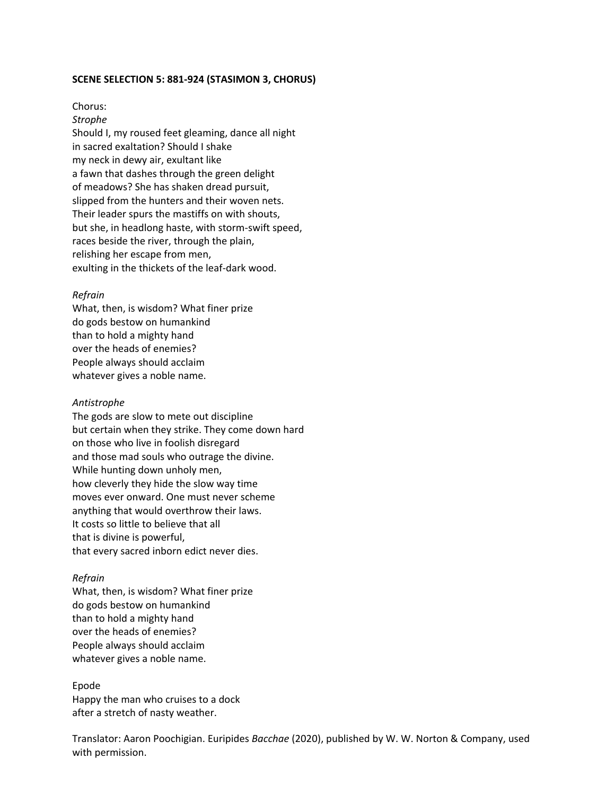## **SCENE SELECTION 5: 881-924 (STASIMON 3, CHORUS)**

## Chorus:

*Strophe* Should I, my roused feet gleaming, dance all night in sacred exaltation? Should I shake my neck in dewy air, exultant like a fawn that dashes through the green delight of meadows? She has shaken dread pursuit, slipped from the hunters and their woven nets. Their leader spurs the mastiffs on with shouts, but she, in headlong haste, with storm-swift speed, races beside the river, through the plain, relishing her escape from men, exulting in the thickets of the leaf-dark wood.

#### *Refrain*

What, then, is wisdom? What finer prize do gods bestow on humankind than to hold a mighty hand over the heads of enemies? People always should acclaim whatever gives a noble name.

#### *Antistrophe*

The gods are slow to mete out discipline but certain when they strike. They come down hard on those who live in foolish disregard and those mad souls who outrage the divine. While hunting down unholy men, how cleverly they hide the slow way time moves ever onward. One must never scheme anything that would overthrow their laws. It costs so little to believe that all that is divine is powerful, that every sacred inborn edict never dies.

#### *Refrain*

What, then, is wisdom? What finer prize do gods bestow on humankind than to hold a mighty hand over the heads of enemies? People always should acclaim whatever gives a noble name.

# Epode

Happy the man who cruises to a dock after a stretch of nasty weather.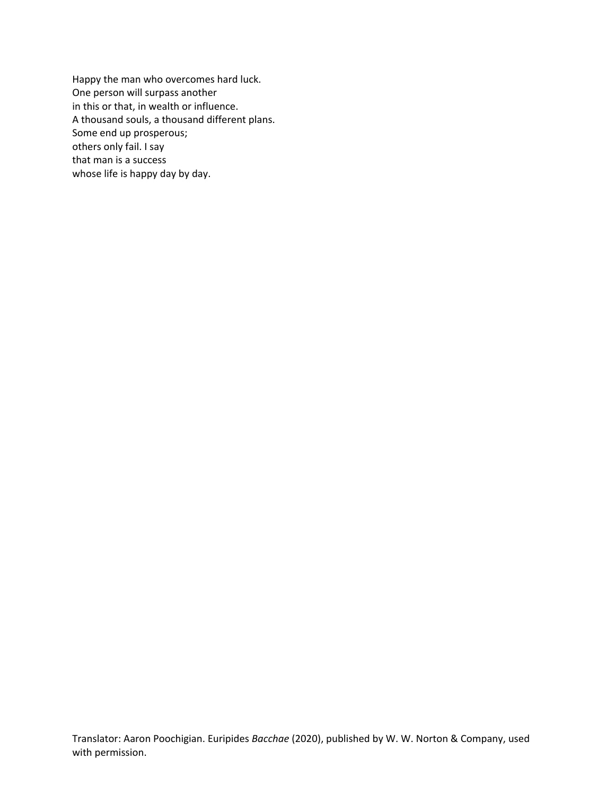Happy the man who overcomes hard luck. One person will surpass another in this or that, in wealth or influence. A thousand souls, a thousand different plans. Some end up prosperous; others only fail. I say that man is a success whose life is happy day by day.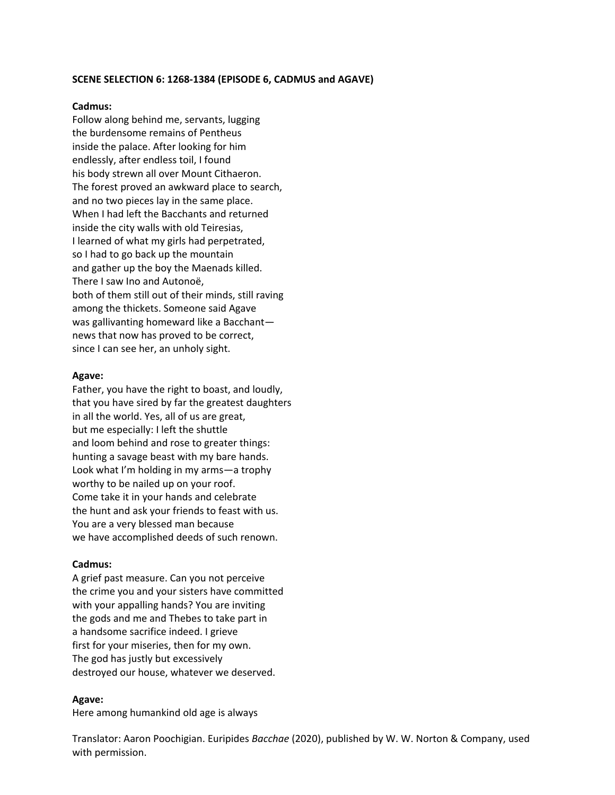## **SCENE SELECTION 6: 1268-1384 (EPISODE 6, CADMUS and AGAVE)**

#### **Cadmus:**

Follow along behind me, servants, lugging the burdensome remains of Pentheus inside the palace. After looking for him endlessly, after endless toil, I found his body strewn all over Mount Cithaeron. The forest proved an awkward place to search, and no two pieces lay in the same place. When I had left the Bacchants and returned inside the city walls with old Teiresias, I learned of what my girls had perpetrated, so I had to go back up the mountain and gather up the boy the Maenads killed. There I saw Ino and Autonoë, both of them still out of their minds, still raving among the thickets. Someone said Agave was gallivanting homeward like a Bacchant news that now has proved to be correct, since I can see her, an unholy sight.

#### **Agave:**

Father, you have the right to boast, and loudly, that you have sired by far the greatest daughters in all the world. Yes, all of us are great, but me especially: I left the shuttle and loom behind and rose to greater things: hunting a savage beast with my bare hands. Look what I'm holding in my arms—a trophy worthy to be nailed up on your roof. Come take it in your hands and celebrate the hunt and ask your friends to feast with us. You are a very blessed man because we have accomplished deeds of such renown.

#### **Cadmus:**

A grief past measure. Can you not perceive the crime you and your sisters have committed with your appalling hands? You are inviting the gods and me and Thebes to take part in a handsome sacrifice indeed. I grieve first for your miseries, then for my own. The god has justly but excessively destroyed our house, whatever we deserved.

## **Agave:**

Here among humankind old age is always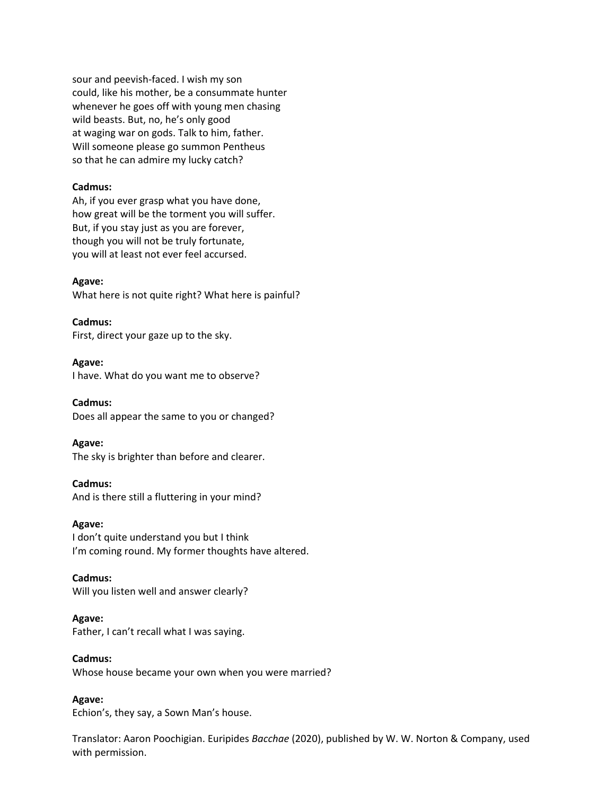sour and peevish-faced. I wish my son could, like his mother, be a consummate hunter whenever he goes off with young men chasing wild beasts. But, no, he's only good at waging war on gods. Talk to him, father. Will someone please go summon Pentheus so that he can admire my lucky catch?

#### **Cadmus:**

Ah, if you ever grasp what you have done, how great will be the torment you will suffer. But, if you stay just as you are forever, though you will not be truly fortunate, you will at least not ever feel accursed.

## **Agave:**

What here is not quite right? What here is painful?

**Cadmus:** First, direct your gaze up to the sky.

**Agave:** I have. What do you want me to observe?

**Cadmus:** Does all appear the same to you or changed?

**Agave:** The sky is brighter than before and clearer.

**Cadmus:** And is there still a fluttering in your mind?

**Agave:** I don't quite understand you but I think I'm coming round. My former thoughts have altered.

**Cadmus:** Will you listen well and answer clearly?

**Agave:** Father, I can't recall what I was saying.

**Cadmus:** Whose house became your own when you were married?

**Agave:**

Echion's, they say, a Sown Man's house.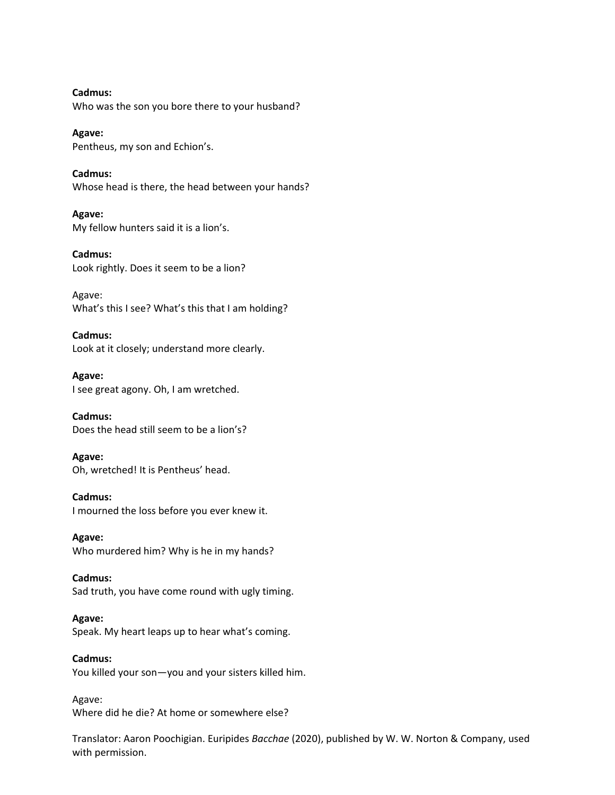**Cadmus:** Who was the son you bore there to your husband?

**Agave:** Pentheus, my son and Echion's.

**Cadmus:** Whose head is there, the head between your hands?

**Agave:** My fellow hunters said it is a lion's.

**Cadmus:** Look rightly. Does it seem to be a lion?

Agave: What's this I see? What's this that I am holding?

**Cadmus:** Look at it closely; understand more clearly.

**Agave:** I see great agony. Oh, I am wretched.

**Cadmus:** Does the head still seem to be a lion's?

**Agave:** Oh, wretched! It is Pentheus' head.

**Cadmus:** I mourned the loss before you ever knew it.

**Agave:** Who murdered him? Why is he in my hands?

**Cadmus:** Sad truth, you have come round with ugly timing.

**Agave:** Speak. My heart leaps up to hear what's coming.

**Cadmus:** You killed your son—you and your sisters killed him.

Agave: Where did he die? At home or somewhere else?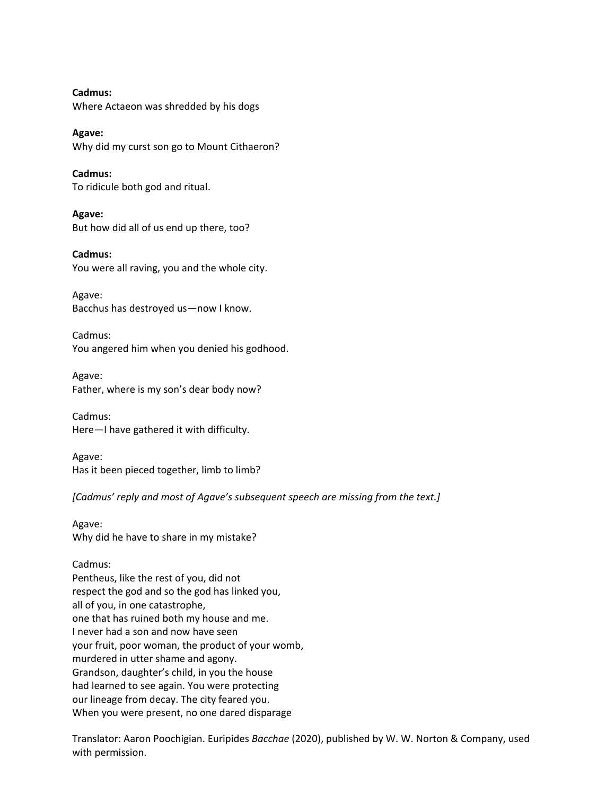**Cadmus:** Where Actaeon was shredded by his dogs

**Agave:** Why did my curst son go to Mount Cithaeron?

**Cadmus:** To ridicule both god and ritual.

**Agave:** But how did all of us end up there, too?

**Cadmus:** You were all raving, you and the whole city.

Agave: Bacchus has destroyed us—now I know.

Cadmus: You angered him when you denied his godhood.

Agave: Father, where is my son's dear body now?

Cadmus: Here—I have gathered it with difficulty.

Agave: Has it been pieced together, limb to limb?

*[Cadmus' reply and most of Agave's subsequent speech are missing from the text.]*

Agave: Why did he have to share in my mistake?

# Cadmus:

Pentheus, like the rest of you, did not respect the god and so the god has linked you, all of you, in one catastrophe, one that has ruined both my house and me. I never had a son and now have seen your fruit, poor woman, the product of your womb, murdered in utter shame and agony. Grandson, daughter's child, in you the house had learned to see again. You were protecting our lineage from decay. The city feared you. When you were present, no one dared disparage